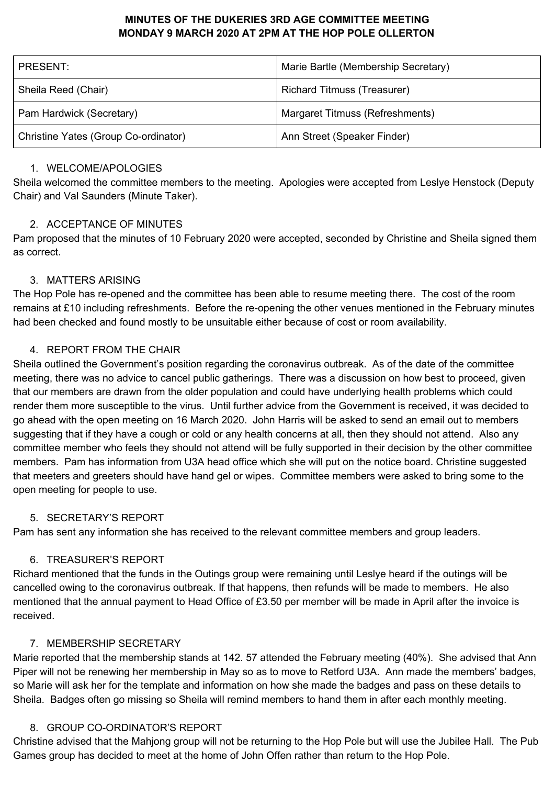# **MINUTES OF THE DUKERIES 3RD AGE COMMITTEE MEETING MONDAY 9 MARCH 2020 AT 2PM AT THE HOP POLE OLLERTON**

| PRESENT:                             | Marie Bartle (Membership Secretary) |
|--------------------------------------|-------------------------------------|
| Sheila Reed (Chair)                  | <b>Richard Titmuss (Treasurer)</b>  |
| Pam Hardwick (Secretary)             | Margaret Titmuss (Refreshments)     |
| Christine Yates (Group Co-ordinator) | Ann Street (Speaker Finder)         |

#### 1. WELCOME/APOLOGIES

Sheila welcomed the committee members to the meeting. Apologies were accepted from Leslye Henstock (Deputy Chair) and Val Saunders (Minute Taker).

# 2. ACCEPTANCE OF MINUTES

Pam proposed that the minutes of 10 February 2020 were accepted, seconded by Christine and Sheila signed them as correct.

# 3. MATTERS ARISING

The Hop Pole has re-opened and the committee has been able to resume meeting there. The cost of the room remains at £10 including refreshments. Before the re-opening the other venues mentioned in the February minutes had been checked and found mostly to be unsuitable either because of cost or room availability.

# 4. REPORT FROM THE CHAIR

Sheila outlined the Government's position regarding the coronavirus outbreak. As of the date of the committee meeting, there was no advice to cancel public gatherings. There was a discussion on how best to proceed, given that our members are drawn from the older population and could have underlying health problems which could render them more susceptible to the virus. Until further advice from the Government is received, it was decided to go ahead with the open meeting on 16 March 2020. John Harris will be asked to send an email out to members suggesting that if they have a cough or cold or any health concerns at all, then they should not attend. Also any committee member who feels they should not attend will be fully supported in their decision by the other committee members. Pam has information from U3A head office which she will put on the notice board. Christine suggested that meeters and greeters should have hand gel or wipes. Committee members were asked to bring some to the open meeting for people to use.

## 5. SECRETARY'S REPORT

Pam has sent any information she has received to the relevant committee members and group leaders.

## 6. TREASURER'S REPORT

Richard mentioned that the funds in the Outings group were remaining until Leslye heard if the outings will be cancelled owing to the coronavirus outbreak. If that happens, then refunds will be made to members. He also mentioned that the annual payment to Head Office of £3.50 per member will be made in April after the invoice is received.

## 7. MEMBERSHIP SECRETARY

Marie reported that the membership stands at 142. 57 attended the February meeting (40%). She advised that Ann Piper will not be renewing her membership in May so as to move to Retford U3A. Ann made the members' badges, so Marie will ask her for the template and information on how she made the badges and pass on these details to Sheila. Badges often go missing so Sheila will remind members to hand them in after each monthly meeting.

## 8. GROUP CO-ORDINATOR'S REPORT

Christine advised that the Mahjong group will not be returning to the Hop Pole but will use the Jubilee Hall. The Pub Games group has decided to meet at the home of John Offen rather than return to the Hop Pole.